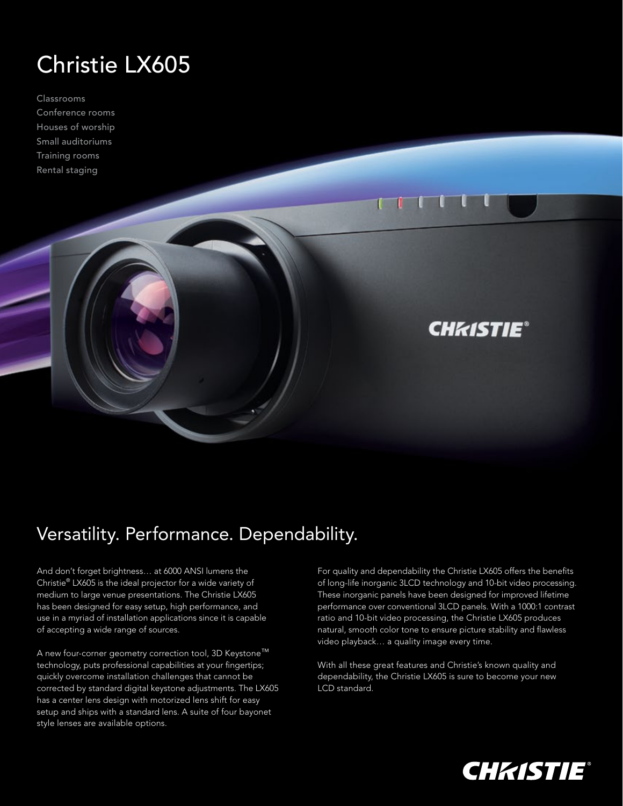## Christie LX605

Classrooms Conference rooms Houses of worship Small auditoriums Training rooms Rental staging

## Versatility. Performance. Dependability.

And don't forget brightness… at 6000 ANSI lumens the Christie® LX605 is the ideal projector for a wide variety of medium to large venue presentations. The Christie LX605 has been designed for easy setup, high performance, and use in a myriad of installation applications since it is capable of accepting a wide range of sources.

A new four-corner geometry correction tool, 3D Keystone™™ technology, puts professional capabilities at your fingertips; quickly overcome installation challenges that cannot be corrected by standard digital keystone adjustments. The LX605 has a center lens design with motorized lens shift for easy setup and ships with a standard lens. A suite of four bayonet style lenses are available options.

For quality and dependability the Christie LX605 offers the benefits of long-life inorganic 3LCD technology and 10-bit video processing. These inorganic panels have been designed for improved lifetime performance over conventional 3LCD panels. With a 1000:1 contrast ratio and 10-bit video processing, the Christie LX605 produces natural, smooth color tone to ensure picture stability and flawless video playback… a quality image every time.

**CHAISTIE®** 

 $\blacksquare$ 

With all these great features and Christie's known quality and dependability, the Christie LX605 is sure to become your new LCD standard.